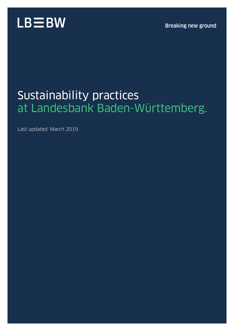

### Sustainability practices at Landesbank Baden-Württemberg.

Last updated: March 2019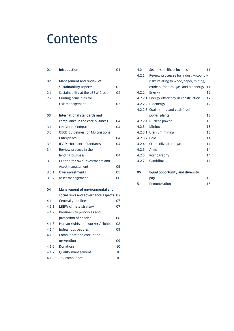### **Contents**

| 01    | <b>Introduction</b>                      | 01 |
|-------|------------------------------------------|----|
| 02    | Management and review of                 |    |
|       | sustainability aspects                   | 02 |
| 2.1   | Sustainability at the LBBW Group         | 02 |
| 2.2   | Guiding principles for                   |    |
|       | risk management                          | 03 |
| 03    | International standards and              |    |
|       | compliance in the core business          | 04 |
| 3.1   | <b>UN Global Compact</b>                 | 04 |
| 3.2   | <b>OECD Guidelines for Multinational</b> |    |
|       | <b>Enterprises</b>                       | 04 |
| 3.3   | <b>IFC Performance Standards</b>         | 04 |
| 3.4   | Review process in the                    |    |
|       | lending business                         | 04 |
| 3.5   | Criteria for own investments and         |    |
|       | Asset management                         | 05 |
| 3.5.1 | Own investments                          | 05 |
| 3.5.2 | asset management                         | 06 |
| 04    | Management of environmental and          |    |
|       | social risks and governance aspects      | 07 |
| 4.1   | General guidelines                       | 07 |
| 4.1.1 | LBBW climate strategy                    | 07 |
| 4.1.2 | Biodiversity principles and              |    |
|       | protection of species                    | 08 |
| 4.1.3 | Human rights and workers' rights         | 08 |
| 4.1.4 | Indigenous peoples                       | 09 |
| 4.1.5 | Compliance and corruption                |    |
|       | prevention                               | 09 |
| 4.1.6 | <b>Donations</b>                         | 10 |
| 4.1.7 | Quality management                       | 10 |
| 4.1.8 | Tax compliance                           | 10 |

| 4.2          | Sector-specific principles                | 11 |
|--------------|-------------------------------------------|----|
| 4.2.1        | Review processes for industry/country     |    |
|              | risks relating to wood/paper, mining,     |    |
|              | crude oil/natural gas, and bioenergy 11   |    |
| 4.2.2        | Energy                                    | 12 |
|              | 4.2.2.1 Energy efficiency in construction | 12 |
|              | 4.2.2.2 Bioenergy                         | 12 |
|              | 4.2.2.3 Coal mining and coal-fired        |    |
|              | power plants                              | 12 |
|              | 4.2.2.4 Nuclear power                     | 13 |
| 4.2.3        | Mining                                    | 13 |
|              | 4.2.3.1 Uranium mining                    | 13 |
| 4.2.3.2 Gold |                                           | 14 |
| 4.2.4        | Crude oil/natural gas                     | 14 |
| 4.2.5        | Arms                                      | 14 |
| 4.2.6        | Pornography                               | 14 |
| 4.2.7        | Gambling                                  | 14 |
|              |                                           |    |
| 05           | Equal opportunity and diversity,          |    |
|              | pay                                       | 15 |

5.1 Remuneration 15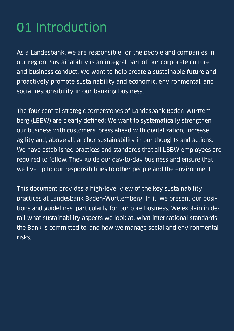# 01 Introduction

As a Landesbank, we are responsible for the people and companies in our region. Sustainability is an integral part of our corporate culture and business conduct. We want to help create a sustainable future and proactively promote sustainability and economic, environmental, and social responsibility in our banking business.

The four central strategic cornerstones of Landesbank Baden-Württemberg (LBBW) are clearly defined: We want to systematically strengthen our business with customers, press ahead with digitalization, increase agility and, above all, anchor sustainability in our thoughts and actions. We have established practices and standards that all LBBW employees are required to follow. They guide our day-to-day business and ensure that we live up to our responsibilities to other people and the environment.

This document provides a high-level view of the key sustainability practices at Landesbank Baden-Württemberg. In it, we present our positions and guidelines, particularly for our core business. We explain in detail what sustainability aspects we look at, what international standards the Bank is committed to, and how we manage social and environmental risks.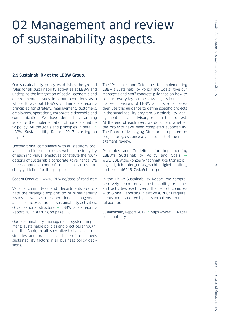# 02 Management and review of sustainability aspects.

#### 2.1 Sustainability at the LBBW Group.

Our sustainability policy establishes the ground rules for all sustainability activities at LBBW and underpins the integration of social, economic and environmental issues into our operations as a whole. It lays out LBBW's guiding sustainability principles for strategy, management, customers, employees, operations, corporate citizenship and communication. We have defined overarching goals for the implementation of our sustainability policy. All the goals and principles in detail  $\rightarrow$ LBBW Sustainability Report 2017 starting on page 9.

Unconditional compliance with all statutory provisions and internal rules as well as the integrity of each individual employee constitute the foundations of sustainable corporate governance. We have adopted a code of conduct as an overarching guideline for this purpose.

 $Code of Conduct \rightarrow www.IBBW.de/code-of-conduct-e)$ 

Various committees and departments coordinate the strategic exploration of sustainability issues as well as the operational management and specific execution of sustainability activities. Organizational structure  $\rightarrow$  LBBW Sustainability Report 2017 starting on page 15.

Our sustainability management system implements sustainable policies and practices throughout the Bank, in all specialized divisions, subsidiaries and branches, and therefore embeds sustainability factors in all business policy decisions.

The "Principles and Guidelines for Implementing LBBW's Sustainability Policy and Goals" give our managers and staff concrete guidance on how to conduct everyday business. Managers in the specialized divisions of LBBW and its subsidiaries then use this guidance to define specific projects in the sustainability program. Sustainability Management has an advisory role in this context. At the end of each year, we document whether the projects have been completed successfully. The Board of Managing Directors is updated on project progress once a year as part of the management review.

Principles and Guidelines for Implementing LBBW's Sustainability Policy and Goals  $\rightarrow$ www.LBBW.de/konzern/nachhaltigkeit/prinzipi[en\\_und\\_richtlinien\\_LBBW\\_nachhaltigkeitspolitik\\_](https://www.lbbw.de/konzern/nachhaltigkeit/prinzipien_und_richtlinien_lbbw_nachhaltigkeitspolitik_und_-ziele_7v4a6cttq_m.pdf) und\_-ziele\_46215\_7v4a6cttq\_m.pdf

In the LBBW Sustainability Report, we comprehensively report on all sustainability practices and activities each year. The report complies with Global Reporting Initiative (GRI G4) requirements and is audited by an external environmental auditor.

Sustainability Report 2017  [https://www.LBBW.de/](https://www.LBBW.de/sustainability) [sustainability](https://www.LBBW.de/sustainability)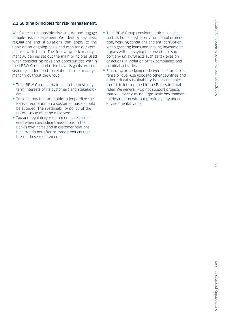#### 2.2 Guiding principles for risk management.

We foster a responsible risk culture and engage in agile risk management. We identify key laws, regulations and stipulations that apply to the Bank on an ongoing basis and monitor our compliance with them. The following risk management guidelines set out the main principles used when considering risks and opportunities within the LBBW Group and drive how its goals are consistently understood in relation to risk management throughout the Group.

- The LBBW Group aims to act in the best longterm interests of its customers and stakeholders.
- Transactions that are liable to jeopardize the Bank's reputation on a sustained basis should be avoided. The sustainability policy of the LBBW Group must be observed.
- Tax and regulatory requirements are considered when concluding transactions in the Bank's own name and in customer relationships. We do not offer or trade products that breach these requirements.
- The LBBW Group considers ethical aspects, such as human rights, environmental protection, working conditions and anti-corruption, when granting loans and making investments. It goes without saying that we do not support any unlawful acts such as tax evasion or actions in violation of tax compliance and criminal activities.
- Financing or hedging of deliveries of arms, defense or dual-use goods to other countries and other critical sustainability issues are subject to restrictions defined in the Bank's internal rules. We generally do not support projects that will clearly cause large-scale environmental destruction without providing any added environmental value.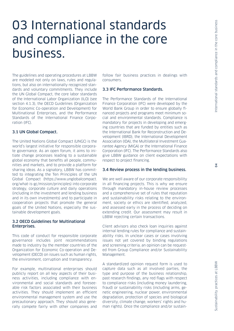## 03 International standards and compliance in the core business.

The guidelines and operating procedures at LBBW are modeled not only on laws, rules and regulations, but also on internationally recognized standards and voluntary commitments. They include the UN Global Compact, the core labor standards of the International Labor Organization (ILO) (see section 4.1.3), the OECD Guidelines (Organization for Economic Co-operation and Development) for Multinational Enterprises, and the Performance Standards of the International Finance Corporation (IFC).

#### 3.1 UN Global Compact.

The United Nations Global Compact (UNGC) is the world's largest initiative for responsible corporate governance. As an open forum, it aims to initiate change processes leading to a sustainable global economy that benefits all people, communities and markets, and to provide a platform for sharing ideas. As a signatory, LBBW has committed to integrating the Ten Principles of the UN Global Compact (https://www.unglobalcompact. org/what-is-gc/mission/principles) into corporate strategy, corporate culture and daily operations (including in the investment and lending business and in its own investments) and to participate in cooperation projects that promote the general goals of the United Nations, especially the sustainable development goals.

#### 3.2 OECD Guidelines for Multinational Enterprises.

This code of conduct for responsible corporate governance includes joint recommendations made to industry by the member countries of the Organization for Economic Co-operation and Development (OECD) on issues such as human rights, the environment, corruption and transparency.

For example, multinational enterprises should publicly report on all key aspects of their business activities, including compliance with environmental and social standards and foreseeable risk factors associated with their business activities. They should implement an efficient environmental management system and use the precautionary approach. They should also generally compete fairly with other companies and

follow fair business practices in dealings with consumers.

#### 3.3 IFC Performance Standards.

The Performance Standards of the International Finance Corporation (IFC) were developed by the World Bank Group in order to ensure globally financed projects and programs meet minimum social and environmental standards. Compliance is mandatory for projects in developing and emerging countries that are funded by entities such as the International Bank for Reconstruction and Development (IBRD), the International Development Association (IDA), the Multilateral Investment Guarantee Agency (MIGA) or the International Finance Corporation (IFC). The Performance Standards also give LBBW guidance on client expectations with respect to project financing.

#### 3.4 Review process in the lending business.

We are well aware of our corporate responsibility in all financing projects. This is why we ensure through mandatory in-house review processes and a comprehensive set of rules that reputation and sustainability risks relating to the environment, society or ethics are identified, analyzed, and assessed early in the process of deciding on extending credit. Our assessment may result in LBBW rejecting certain transactions.

Client advisors also check loan inquiries against internal lending rules for compliance and sustainability risks. In unclear cases or cases involving issues not yet covered by binding regulations and screening criteria, an opinion can be requested from Group Compliance and/or Sustainability Management.

A standardized opinion request form is used to capture data such as all involved parties, the type and purpose of the business relationship, past research findings, any red flags with respect to compliance risks (including money laundering, fraud) or sustainability risks (including arms, genetic engineering, nuclear power, environmental degradation, protection of species and biological diversity, climate change, workers' rights and human rights). Once the compliance and/or sustain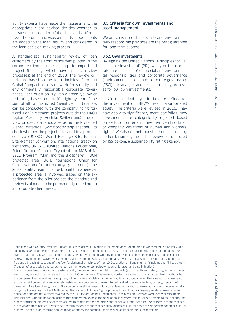ability experts have made their assessment, the appropriate client advisor decides whether to pursue the transaction. If the decision is affirmative, the compliance/sustainability assessments are added to the loan inquiry and considered in the loan decision-making process.

A standardized sustainability review of loan customers by the front office was piloted in the corporate clients business (except for export and project financing, which have specific review processes) at the end of 2018. The review criteria are based on the Ten Principles of the UN Global Compact as a framework for socially and environmentally responsible corporate governance. Each question is given a green, yellow or red rating based on a traffic light system. If the sum of all ratings is red (negative), no business can be conducted with the company going forward. For investment projects outside the DACH region (Germany, Austria, Switzerland), the review process also stipulates using the Protected Planet database (www.protectedplanet.net) to check whether the project is located in a protected area (UNESCO World Heritage Site, Ramsar Site (Ramsar Convention; international treaty on wetlands), UNESCO (United Nations Educational, Scientific and Cultural Organization) MAB (UN-ESCO Program "Man and the Biosphere"), IUCN protected area (IUCN: International Union for Conservation of Nature) category Ia, b or II). The Sustainability team must be brought in whenever a protected area is involved. Based on the experience from the pilot project, the standardized review is planned to be permanently rolled out to all corporate client areas.

#### 3.5 Criteria for own investments and asset management.

We are convinced that socially and environmentally responsible practices are the best guarantee for long-term success.

#### 3.5.1 Own investments.

By signing the United Nations' "Principles for Responsible Investment" (PRI), we agree to incorporate more aspects of our social and environmental responsibilities and corporate governance (environmental, social and corporate governance (ESG)) into analysis and decision-making processes for our own investments.

In 2011, sustainability criteria were defined for the investment of LBBW's free unappropriated equity. The criteria were revised in 2016. They now apply to significantly more portfolios. New investments are categorically rejected based on exclusion criteria if they involve child labor or company violations of human and workers' rights.1 We also do not invest in bonds issued by authoritarian regimes. The review is conducted by ISS-oekom, a sustainability rating agency.

<sup>1</sup> Child labor: At a country level, that means: It is considered a violation if the employment of children is widespread in a country. At a company level, that means: see workers' rights exclusion criteria (child labor is part of the exclusion criterion). Violation of workers' rights: At a country level, that means: It is considered a violation if working conditions in a country are especially poor, particularly regarding minimum wages, working hours, and health and safety. At a company level, that means: It is considered a violation to flagrantly breach at least one of the four fundamental principles of the ILO Declaration on Fundamental Principles and Rights at Work (freedom of association and collective bargaining, forced or compulsory labor, child labor, and discrimination).

It is also considered a violation to systematically circumvent minimum labor standards (e.g. in health and safety, pay, working hours) even if they are not directly related to the four ILO conventions. This exclusion criterion applies to minimum standard violations by the company itself as well as its suppliers/subcontractors. Violation of human rights: At a country level, that means: It is considered a violation if human rights are severely restricted in a country with regard to political arbitrariness, torture, privacy, freedom of movement, freedom of religion, etc. At a company level, that means: It is considered a violation to egregiously breach internationally recognized principles like the UN Universal Declaration of Human Rights, provided they do not exclusively relate to governmental obligations and are not already covered by the ILO Declaration on Fundamental Principles and Rights at Work (see workers' rights). This includes, without limitation, actions that deliberately expose the population, customers, etc. to serious threats to their health/life; human trafficking; severe use of force against third parties and the hiring and/or active support of such use of force; actions that seriously violate third parties' rights to self-determination; actions that seriously disregard cultural rights to self-determination or cultural dignity. The exclusion criterion applies to violations by the company itself as well as its suppliers/subcontractors.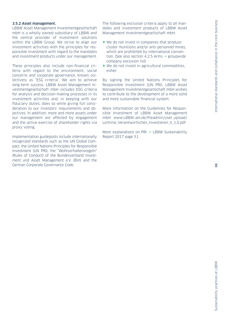#### 3.5.2 Asset management.

LBBW Asset Management Investmentgesellschaft mbH is a wholly owned subsidiary of LBBW and the central provider of investment solutions within the LBBW Group. We strive to align our investment activities with the principles for responsible investment with regard to the mandates and investment products under our management.

These principles also include non-financial criteria with regard to the environment, social concerns and corporate governance, known collectively as "ESG criteria". We aim to achieve long-term success. LBBW Asset Management Investmentgesellschaft mbH includes ESG criteria for analysis and decision-making processes in its investment activities and, in keeping with our fiduciary duties, does so while giving full consideration to our investors' requirements and objectives. In addition, more and more assets under our management are affected by engagement and the active exercise of shareholder rights via proxy voting.

Implementation guideposts include internationally recognized standards such as the UN Global Compact, the United Nations Principles for Responsible Investment (UN PRI), the "Wohlverhaltensregeln" (Rules of Conduct) of the Bundesverband Investment und Asset Management e.V. (BVI) and the German Corporate Governance Code.

The following exclusion criteria apply to all mandates and investment products of LBBW Asset Management Investmentgesellschaft mbH:

- We do not invest in companies that produce cluster munitions and/or anti-personnel mines, which are prohibited by international convention. (See also section 4.2.5 Arms  $\rightarrow$  groupwide company exclusion list)
- We do not invest in agricultural commodities, either.

By signing the United Nations Principles for Responsible Investment (UN PRI), LBBW Asset Management Investmentgesellschaft mbH wishes to contribute to the development of a more solid and more sustainable financial system.

More information on the Guidelines for Responsible Investment of LBBW Asset Management mbH: [www.LBBW-am.de/fileadmin/user\\_upload/](https://www.lbbw-am.de/fileadmin/user_upload/Leitlinie_Verantwortliches_Investieren_V_1.0.pdf) [Leitlinie\\_Verantwortliches\\_Investieren\\_V\\_1.0.pdf](https://www.lbbw-am.de/fileadmin/user_upload/Leitlinie_Verantwortliches_Investieren_V_1.0.pdf)

More explanations on PRI  $\rightarrow$  LBBW Sustainability Report 2017 page 51.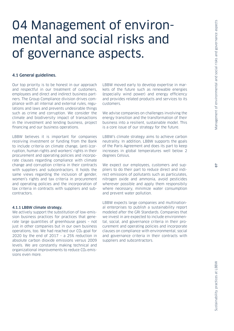# 04 Management of environmental and social risks and of governance aspects.

#### 4.1 General guidelines.

Our top priority is to be honest in our approach and respectful in our treatment of customers, employees and direct and indirect business partners. The Group Compliance division drives compliance with all internal and external rules, regulations and laws and prevents undesirable things such as crime and corruption. We consider the climate and biodiversity impact of transactions in the investment and lending business, project financing and our business operations.

LBBW believes it is important for companies receiving investment or funding from the Bank to include criteria on climate change, (anti-)corruption, human rights and workers' rights in their procurement and operating policies and incorporate clauses regarding compliance with climate change and corruption criteria in their contracts with suppliers and subcontractors. It holds the same views regarding the inclusion of gender, women's rights and tax criteria in procurement and operating policies and the incorporation of tax criteria in contracts with suppliers and subcontractors.

#### 4.1.1 LBBW climate strategy.

We actively support the substitution of low-emission business practices for practices that generate large quantities of greenhouse gases – not just in other companies but in our own business operations, too. We had reached our CO2 goal for 2020 by the end of 2017 - a 25% reduction in absolute carbon dioxide emissions versus 2009 levels. We are constantly making technical and organizational improvements to reduce CO<sub>2</sub> emissions even more.

LBBW moved early to develop expertise in markets of the future such as renewable energies (especially wind power) and energy efficiency and provides related products and services to its customers.

We advise companies on challenges involving the energy transition and the transformation of their business into a resilient, sustainable model. This is a core issue of our strategy for the future.

LBBW's climate strategy aims to achieve carbon neutrality. In addition, LBBW supports the goals of the Paris Agreement and does its part to keep increases in global temperatures well below 2 degrees Celsius.

We expect our employees, customers and suppliers to do their part to reduce direct and indirect emissions of pollutants such as particulates, nitrogen oxide and ammonia, avoid pesticides wherever possible and apply them responsibily where necessary, minimize water consumption and prevent water pollution.

LBBW expects large companies and multinational enterprises to publish a sustainability report modeled after the GRI Standards. Companies that we invest in are expected to include environmental, social, and governance criteria in their procurement and operating policies and incorporate clauses on compliance with environmental, social and governance criteria in their contracts with suppliers and subcontractors.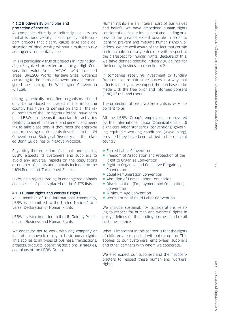#### 4.1.2 Biodiversity principles and protection of species.

All companies directly or indirectly use services that affect biodiversity. It is our policy not to support projects that clearly cause large-scale destruction of biodiversity without simultaneously adding environmental value.

This is particularly true of projects in internationally recognized protected areas (e.g., High Conservation Value Areas (HCVA), IUCN protected areas, UNESCO World Heritage Sites, wetlands according to the Ramsar Convention) and endangered species (e.g., the Washington Convention (CITES)).

Living genetically modified organisms should only be produced or traded if the importing country has given its permission and all the requirements of the Cartagena Protocol have been met. LBBW also deems it important for activities relating to genetic material and genetic engineering to take place only if they meet the approval and processing requirements described in the UN Convention on Biological Diversity and the related Bonn Guidelines or Nagoya Protocol.

Regarding the protection of animals and species, LBBW expects its customers and suppliers to avoid any adverse impacts on the populations or number of plants and animals included on the IUCN Red List of Threatened Species.

LBBW also rejects trading in endangered animals and species of plants placed on the CITES lists.

#### 4.1.3 Human rights and workers' rights.

As a member of the international community, LBBW is committed to the United Nations' Universal Declaration of Human Rights.

LBBW is also committed to the UN Guiding Principles on Business and Human Rights.

We endeavor not to work with any company or institution known to disregard basic human rights. This applies to all types of business, transactions, projects, products, operating decisions, strategies, and plans of the LBBW Group.

Human rights are an integral part of our values and beliefs. We have embedded human rights considerations in our investment and lending process to the greatest extent possible in order to identify, prevent and mitigate human rights violations. We are well aware of the fact that certain sectors could pose a greater risk with respect to the disrespect for human rights. Because of this, we have defined specific industry guidelines for the lending business, see section 4.2.

If companies receiving investment or funding from us acquire natural resources in a way that affects land rights, we expect the purchase to be made with the free prior and informed consent (FPIC) of the land users.

The protection of basic worker rights is very important to us.

All the LBBW Group's employees are covered by the International Labor Organization's (ILO) eight core labor standards (conventions) governing equitable working conditions (www.ilo.org), provided they have been ratified in the relevant country:

- Forced Labor Convention
- Freedom of Association and Protection of the Right to Organize Convention
- Right to Organize and Collective Bargaining Convention
- Equal Remuneration Convention
- Abolition of Forced Labor Convention
- Discrimination (Employment and Occupation) Convention
- Minimum Age Convention
- Worst Forms of Child Labor Convention

We include sustainability considerations relating to respect for human and workers' rights in our guidelines on the lending business and retail customer advice.

What is important in this context is that the rights of children are respected without exception. This applies to our customers, employees, suppliers and other partners with whom we cooperate.

We also expect our suppliers and their subcontractors to respect these human and workers' rights.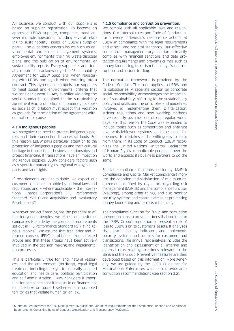All business we conduct with our suppliers is based on supplier registration. To become an approved LBBW supplier, companies must answer multiple questions, including several relating to sustainability issues, on LBBW's supplier portal. The questions concern issues such as environmental and social management systems, employee environmental training, waste disposal plans, and the publication of environmental or sustainability reports. Every supplier is additionally required to acknowledge the "Sustainability Agreement for LBBW Suppliers" when registering with LBBW and sign it when entering into a contract. This agreement compels our suppliers to meet social and environmental criteria that we consider essential. Any supplier violating the social standards contained in the sustainability agreement (e.g., prohibition on human rights abuses such as child labor) must accept this violation as grounds for termination of the agreement without notice for cause.

#### 4.1.4 Indigenous peoples.

We recognize the need to protect indigenous peoples and their connection to ancestral lands. For this reason, LBBW pays particular attention to the protection of indigenous peoples and their cultural heritage in transactions, business relationships and project financing. If transactions have an impact on indigenous peoples, LBBW considers factors such as respect for human rights, regional ecological impacts and land rights.

If resettlements are unavoidable, we expect our customer companies to abide by national laws and regulations and – where applicable – the International Finance Corporation's (IFC) Performance Standard PS 5 ("Land Acquisition and Involuntary Resettlement").

Wherever project financing has the potential to affect indigenous peoples, we expect our customer companies to abide by the goals and requirements set out in IFC Performance Standard PS 7 ("Indigenous Peoples"). We assume that free, prior and informed consent (FPIC) is obtained from affected groups and that these groups have been actively involved in the decision-making and implementation processes.

This is particularly true for land, natural resources and the environment (territory), equal legal treatment including the right to culturally adapted education and health care, political participation and self-administration. LBBW considers it important for companies that it invests in or finances not to undertake or support settlements in occupied territories that violate humanitarian law.

#### 4.1.5 Compliance and corruption prevention.

We comply with all applicable laws and regulations. Our internal rules and Code of Conduct inform every individual's responsible actions at LBBW in compliance with the legal requirements and ethical and societal standards. Our effective compliance management organization primarily complies with financial sanctions and data protection requirements and prevents crimes such as money laundering, terrorism financing, fraud, corruption, and insider trading.

The normative framework is provided by the Code of Conduct. This code applies to LBBW and its subsidiaries. A separate section on corporate social responsibility acknowledges the importance of sustainability, referring to the sustainability policy and goals and the principles and guidelines involved in implementing them. Digitalization, stricter regulations and new working methods have recently become part of our regular workdays. For this reason, the Code was expanded to include topics such as competition and antitrust law, whistleblower systems and the need for openness to mistakes and a willingness to learn from them. In its Code of Conduct, LBBW recognizes the United Nations' Universal Declaration of Human Rights as applicable people all over the world and expects its business partners to do the same.

Special compliance functions (including MaRisk Compliance and Capital Market Compliance2) monitor the adoption and satisfaction of minimum requirements defined by regulators regarding risk management (MaRisk) and the compliance function (MaComp), among other things, and also monitor security systems and controls aimed at preventing money laundering and terrorism financing.

The compliance function for fraud and corruption prevention aims to prevent crimes that could harm the LBBW Group's reputation or present a risk of loss to LBBW's or its customers' assets. It analyzes risks, tracks leading indicators, and implements security systems and controls for customers and transactions. The annual risk analysis includes the identification and assessment of all internal and external risks relating to crimes relevant to the Bank and the Group. Preventive measures are then developed based on this information. More generally, we are guided by the OECD Guidelines for Multinational Enterprises, which also provide anticorruption recommendations (see section 3.2).

Sustainability practices at LBBW

Sustainability practices at LBBW

2 Minimum Requirements for Risk Management (MaRisk) and Minimum Requirements for the Compliance Function and Additional Requirements Governing Rules of Conduct, Organization and Transparency (MaComp).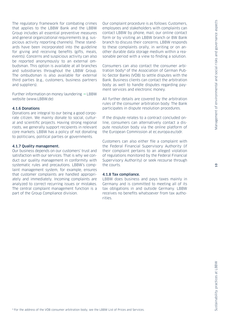The regulatory framework for combating crimes that applies to the LBBW Bank and the LBBW Group includes all essential preventive measures and general organizational requirements (e.g. suspicious activity reporting channels). These standards have been incorporated into the guideline for giving and receiving benefits (gifts, meals, events). Concerns and suspicious activity can also be reported anonymously to an external ombudsman. This option is available at all branches and subsidiaries throughout the LBBW Group. The ombudsman is also available for external third parties (e.g., customers, business partners and suppliers).

Further information on money laundering  $\rightarrow$  LBBW website (www.LBBW.de)

#### 4.1.6 Donations

Donations are integral to our being a good corporate citizen. We mainly donate to social, cultural and scientific projects. Having strong regional roots, we generally support recipients in relevant core markets. LBBW has a policy of not donating to politicians, political parties or governments.

#### 4.1.7 Quality management.

Our business depends on our customers' trust and satisfaction with our services. That is why we conduct our quality management in conformity with systematic rules and precautions. LBBW's complaint management system, for example, ensures that customer complaints are handled appropriately and immediately. Incoming complaints are analyzed to correct recurring issues or mistakes. The central complaint management function is a part of the Group Compliance division.

Our complaint procedure is as follows: Customers, employees and stakeholders with complaints can contact LBBW by phone, mail, our online contact form or by visiting an LBBW branch or BW Bank branch to discuss their concerns. LBBW responds to these complaints orally, in writing or on another durable data storage medium within a reasonable period with a view to finding a solution.

Consumers can also contact the consumer arbitration body<sup>3</sup> of the Association of German Public-Sector Banks (VÖB) to settle disputes with the Bank. Business clients can contact the arbitration body as well to handle disputes regarding payment services and electronic money.

All further details are covered by the arbitration rules of the consumer arbitration body. The Bank participates in dispute resolution procedures.

If the dispute relates to a contract concluded online, consumers can alternatively contact a dispute resolution body via the online platform of the European Commission at [ec.europa.eu/odr.](https://ec.europa.eu/odr)

Customers can also either file a complaint with the Federal Financial Supervisory Authority (if their complaint pertains to an alleged violation of regulations monitored by the Federal Financial Supervisory Authority) or seek recourse through the courts.

#### 4.1.8 Tax compliance.

LBBW does business and pays taxes mainly in Germany and is committed to meeting all of its tax obligations in and outside Germany. LBBW receives no benefits whatsoever from tax authorities.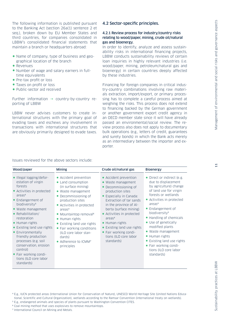The following information is published pursuant to the Banking Act (section 26a(1) sentence 2 et seq.), broken down by EU Member States and third countries, for companies consolidated in LBBW's consolidated financial statements that maintain a branch or headquarters abroad:

- Name of company, type of business and geographical location of the branch
- Revenues
- Number of wage and salary earners in fulltime equivalents
- Pre-tax profit or loss
- Taxes on profit or loss
- Public-sector aid received

Further information  $\rightarrow$  country-by-country reporting of LBBW

LBBW never advises customers to create international structures with the primary goal of evading taxes and eschews any involvement in transactions with international structures that are obviously primarily designed to evade taxes.

#### 4.2 Sector-specific principles.

#### 4.2.1 Review process for industry/country risks relating to wood/paper, mining, crude oil/natural gas and bioenergy.

In order to identify, analyze and assess sustainability risks in international financing projects, LBBW conducts sustainability reviews of certain loan inquiries in highly relevant industries (i.e. wood/paper, mining, petroleum/natural gas and bioenergy) in certain countries deeply affected by these industries.

Financing for foreign companies in critical industry-country combinations involving raw materials extraction, import/export, or primary processing has to complete a careful process aimed at weighing the risks. This process does not extend to financing backed by the German government or another government export credit agency in an OECD member state since it will have already passed an environmental/social review. The review process also does not apply to documentary bulk operations (e.g., letters of credit, guarantees and surety bonds) in which the Bank acts merely as an intermediary between the importer and exporter.

#### Issues reviewed for the above sectors include:

| Wood/paper                                                                                                                                                                                                                                                                                                                                                                                                                                       | <b>Mining</b>                                                                                                                                                                                                                                                                                                                                                                                | Crude oil/natural gas                                                                                                                                                                                                                                                                                                                                                          | <b>Bioenergy</b>                                                                                                                                                                                                                                                                                                                                                                                                                             |
|--------------------------------------------------------------------------------------------------------------------------------------------------------------------------------------------------------------------------------------------------------------------------------------------------------------------------------------------------------------------------------------------------------------------------------------------------|----------------------------------------------------------------------------------------------------------------------------------------------------------------------------------------------------------------------------------------------------------------------------------------------------------------------------------------------------------------------------------------------|--------------------------------------------------------------------------------------------------------------------------------------------------------------------------------------------------------------------------------------------------------------------------------------------------------------------------------------------------------------------------------|----------------------------------------------------------------------------------------------------------------------------------------------------------------------------------------------------------------------------------------------------------------------------------------------------------------------------------------------------------------------------------------------------------------------------------------------|
| • Illegal logging/defor-<br>estation of virgin<br>forests<br>• Activities in protected<br>area <sup>4</sup><br>• Endangerment of<br>biodiversity <sup>5</sup><br>• Waste management<br>• Rehabilitation/<br>restoration<br>• Human rights<br>• Existing land use rights<br>• Environmentally<br>friendly production<br>processes (e.g. soil<br>conservation, erosion<br>control)<br>• Fair working condi-<br>tions (ILO core labor<br>standards) | • Accident prevention<br>• Land consumption<br>(in surface mining)<br>• Waste management<br>Decommissioning of<br>production sites<br>• Activities in protected<br>area <sup>4</sup><br>• Mountaintop removal <sup>6</sup><br>• Human rights<br>• Existing land use rights<br>• Fair working conditions<br>(ILO core labor stan-<br>dards)<br>• Adherence to ICMM <sup>7</sup><br>principles | • Accident prevention<br>• Waste management<br>Decommissioning of<br>$\bullet$<br>production sites<br>• Especially in Canada:<br>Extraction of tar sands<br>in the province of Al-<br>berta (surface mining)<br>• Activities in protected<br>area <sup>4</sup><br>• Human rights<br>• Existing land use rights<br>• Fair working condi-<br>tions (ILO core labor<br>standards) | • Direct or indirect (e.g.<br>due to displacement<br>by agriculture) change<br>of land use for virgin<br>forests or wetlands<br>• Activities in protected<br>area <sup>4</sup><br>• Endangerment of<br>biodiversity <sup>5</sup><br>• Handling of chemicals<br>• Use of genetically<br>modified plants<br>• Waste management<br>• Human rights<br>• Existing land use rights<br>• Fair working condi-<br>tions (ILO core labor<br>standards) |

6 Coal mining method that uses explosives to remove mountaintops.

7 International Council on Mining and Metals.

<sup>4</sup> E.g., IUCN protected areas (International Union for Conservation of Nature), UNESCO World Heritage Site (United Nations Educational, Scientific and Cultural Organization), wetlands according to the Ramsar Convention (international treaty on wetlands).

<sup>5</sup> E.g., endangered animals and species of plants pursuant to Washington Convention CITES.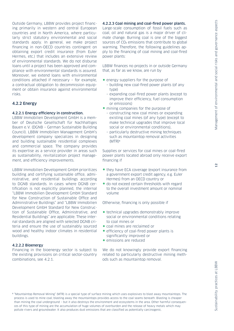Outside Germany, LBBW provides project financing primarily in western and central European countries and in North America, where particularly strict statutory environmental and social standards apply. In general, we make project financing in non-OECD countries contingent on obtaining export credit insurance (from Euler Hermes, etc.) that includes an extensive review of environmental standards. We do not disburse loans until a project has been approved and compliance with environmental standards is assured. Moreover, we extend loans with environmental conditions attached if necessary – for example, a contractual obligation to decommission equipment or obtain insurance against environmental risks.

#### 4.2.2 Energy

#### 4.2.2.1 Energy efficiency in construction.

LBBW Immobilien Development GmbH is a member of Deutsche Gesellschaft für Nachhaltiges Bauen e.V. (DGNB – German Sustainable Building Council). LBBW Immobilien Management GmbH's development company specializes in designing and building sustainable residential complexes and commercial space. The company provides its expertise as a service provider in areas such as sustainability, revitalization project management, and efficiency improvements.

LBBW Immobilien Development GmbH prioritizes building and certifying sustainable office, administrative, and residential buildings according to DGNB standards. In cases where DGNB certification is not explicitly planned, the internal "LBBW Immobilien Development GmbH Standard for New Construction of Sustainable Office and Administrative Buildings" and "LBBW Immobilien Development GmbH Standard for New Construction of Sustainable Office, Administrative, and Residential Buildings" are applicable. These internal standards are aligned with selected DGNB criteria and ensure the use of sustainably sourced wood and healthy indoor climates in residential buildings.

#### 4.2.2.2 Bioenergy

Financing in the bioenergy sector is subject to the existing provisions on critical sector-country combinations, see 4.2.1.

#### 4.2.2.3 Coal mining and coal-fired power plants.

Large-scale consumption of fossil fuels such as coal, oil and natural gas is a major driver of climate change. Burning coal is one of the biggest sources of CO<sub>2</sub> emissions that contribute to global warming. Therefore, the following guidelines apply to the financing of coal mining and coal-fired power plants:

LBBW finances no projects in or outside Germany that, as far as we know, are run by

- energy suppliers for the purpose of
	- building new coal-fired power plants (of any tyne)
	- expanding coal-fired power plants (except to improve their efficiency, fuel consumption or emissions)
- mining companies for the purpose of
	- constructing new coal mines or expanding existing coal mines (of any type) (except to make technical upgrades that improve local social or environmental conditions),
	- particularly destructive mining techniques such as mountaintop removal activities (MTR)8

Supplies or services for coal mines or coal-fired power plants located abroad only receive export financing if

- they have ECA coverage (export insurance from a government export credit agency, e.g. Euler Hermes) from an OECD country or
- do not exceed certain thresholds with regard to the overall investment amount or nominal volume

Otherwise, financing is only possible if

- technical upgrades demonstrably improve social or environmental conditions relating to coal mines or
- coal mines are reclaimed or
- efficiency of coal-fired power plants is significantly improved or
- emissions are reduced

We do not knowingly provide export financing related to particularly destructive mining methods such as mountaintop removal.

<sup>8</sup> "Mountaintop Removal Mining" (MTR) is a special type of surface mining which uses explosives to blast away mountaintops. The process is used to mine coal; blasting away the mountaintops provides access to the coal seams beneath. Blasting is cheaper than mining the coal underground – but it also destroys the environment and ecosystems in the area. Other harmful consequences of this type of mining are the accumulation of huge volumes of overburden and the release of heavy metals which may pollute rivers and groundwater. It also produces dust emissions that are classified as potentially carcinogenic.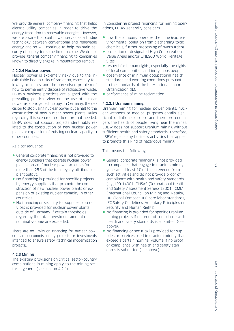We provide general company financing that helps electric utility companies in order to drive the energy transition to renewable energies. However, we are aware that coal power serves as a bridge technology between conventional and renewable energy and so will continue to help maintain security of supply for some time to come. We do not provide general company financing to companies known to directly engage in mountaintop removal.

#### 4.2.2.4 Nuclear power.

Nuclear power is extremely risky due to the incalculable health risks of radiation, especially following accidents, and the unresolved problem of how to permanently dispose of radioactive waste. LBBW's business practices are aligned with the prevailing political view on the use of nuclear power as a bridge technology. In Germany, the decision to stop using nuclear power put a halt to the construction of new nuclear power plants. Rules regarding this scenario are therefore not needed. LBBW does not support projects identifiably related to the construction of new nuclear power plants or expansion of existing nuclear capacity in other countries.

As a consequence:

- General corporate financing is not provided to energy suppliers that operate nuclear power plants abroad if nuclear power accounts for more than 25% of the total legally attributable plant output.
- No financing is provided for specific projects by energy suppliers that promote the construction of new nuclear power plants or expansion of existing nuclear capacity in other countries.
- No financing or security for supplies or services is provided for nuclear power plants outside of Germany if certain thresholds regarding the total investment amount or nominal volume are exceeded.

There are no limits on financing for nuclear power plant decommissioning projects or investments intended to ensure safety (technical modernization projects).

#### 4.2.3 Mining

The existing provisions on critical sector-country combinations in mining apply to the mining sector in general (see section 4.2.1).

In considering project financing for mining operations, LBBW generally considers

- how the company operates the mine (e.g., environmental pollution from discharging toxic chemicals, further processing of overburden)
- protection of designated High Conservation Value Areas and/or UNESCO World Heritage Sites
- respect for human rights, especially the rights of local communities and indigenous peoples
- observance of minimum occupational health standards and working conditions pursuant to the standards of the International Labor Organization (ILO)
- performance of mine reclamation

#### 4.2.3.1 Uranium mining.

Uranium mining for nuclear power plants, nuclear weapons or medical purposes entails significant radiation exposure and therefore endangers the health of people living near the mines. LBBW does not support uranium mining without sufficient health and safety standards. Therefore, LBBW rejects any business activities that appear to promote this kind of hazardous mining.

This means the following:

- General corporate financing is not provided to companies that engage in uranium mining, generate at least 1% of their revenue from such activities and do not provide proof of compliance with health and safety standards (e.g., ISO 14001, OHSAS (Occupational Health and Safety Assessment Series) 18001, ICMM (International Council on Mining and Metals), UN Global Compact, ILO core labor standards, IFC Safety Guidelines, Voluntary Principles on Security and Human Rights).
- No financing is provided for specific uranium mining projects if no proof of compliance with health and safety standards is submitted (see above).
- No financing or security is provided for supplies or services used in uranium mining that exceed a certain nominal volume if no proof of compliance with health and safety standards is submitted (see above).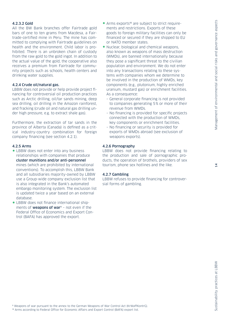#### 4.2.3.2 Gold

All the BW Bank branches offer Fairtrade gold bars of one to ten grams from Macdesa, a Fairtrade-certified mine in Peru. The mine has committed to complying with Fairtrade guidelines on health and the environment. Child labor is prohibited. There is an unbroken chain of custody from the raw gold to the gold ingot. In addition to the actual value of the gold, the cooperative also receives a premium from Fairtrade for community projects such as schools, health centers and drinking water supplies.

#### 4.2.4 Crude oil/natural gas.

LBBW does not provide or help provide project financing for controversial oil production practices such as Arctic drilling, oil/tar sands mining, deep sea drilling, oil drilling in the Amazon rainforest, and fracking (crude oil and natural gas drilling under high pressure, e.g. to extract shale gas).

Furthermore, the extraction of tar sands in the province of Alberta (Canada) is defined as a critical industry-country combination for foreign company financing (see section 4.2.1).

#### 4.2.5 Arms

- LBBW does not enter into any business relationships with companies that produce cluster munitions and/or anti-personnel mines (which are prohibited by international conventions). To accomplish this, LBBW Bank and all subsidiaries majority-owned by LBBW use a Group-wide company exclusion list that is also integrated in the Bank's automated embargo monitoring system. The exclusion list is updated twice a year based on an external database.
- LBBW does not finance international shipments of **weapons of war**<sup>9</sup> - not even if the Federal Office of Economics and Export Control (BAFA) has approved the export.
- Arms exports<sup>10</sup> are subject to strict requirements and restrictions. Exports of these goods to foreign military facilities can only be financed or secured if they are shipped to EU or NATO member states.
- Nuclear, biological and chemical weapons, also known as weapons of mass destruction (WMDs), are banned internationally because they pose a significant threat to the civilian population and environment. We do not enter into any transactions relating to these systems with companies whom we determine to be involved in the production of WMDs, key components (e.g., plutonium, highly enriched uranium, mustard gas) or enrichment facilities. As a consequence:
	- General corporate financing is not provided to companies generating 5% or more of their revenue from WMDs.
	- No financing is provided for specific projects connected with the production of WMDs, key components or enrichment facilities.
	- No financing or security is provided for exports of WMDs abroad (see exclusion of weapons exports).

#### 4.2.6 Pornography

LBBW does not provide financing relating to the production and sale of pornographic products, the operation of brothels, providers of sex tourism, phone sex hotlines and the like.

#### 4.2.7 Gambling

LBBW refuses to provide financing for controversial forms of gambling.

9 Weapons of war pursuant to the annex to the German Weapons of War Control Act (KrWaffKontrG). 10 Arms according to Federal Office for Economic Affairs and Export Control (BAFA) export list.